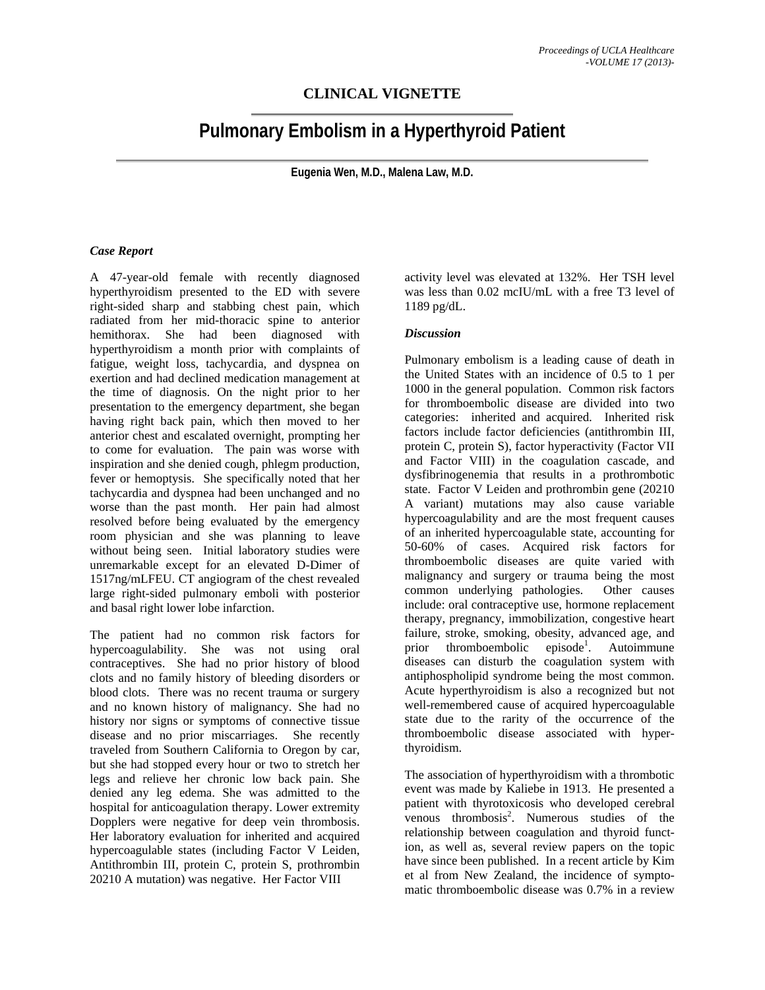## **CLINICAL VIGNETTE**

# **Pulmonary Embolism in a Hyperthyroid Patient**

**Eugenia Wen, M.D., Malena Law, M.D.** 

#### *Case Report*

A 47-year-old female with recently diagnosed hyperthyroidism presented to the ED with severe right-sided sharp and stabbing chest pain, which radiated from her mid-thoracic spine to anterior hemithorax. She had been diagnosed with hyperthyroidism a month prior with complaints of fatigue, weight loss, tachycardia, and dyspnea on exertion and had declined medication management at the time of diagnosis. On the night prior to her presentation to the emergency department, she began having right back pain, which then moved to her anterior chest and escalated overnight, prompting her to come for evaluation. The pain was worse with inspiration and she denied cough, phlegm production, fever or hemoptysis. She specifically noted that her tachycardia and dyspnea had been unchanged and no worse than the past month. Her pain had almost resolved before being evaluated by the emergency room physician and she was planning to leave without being seen. Initial laboratory studies were unremarkable except for an elevated D-Dimer of 1517ng/mLFEU. CT angiogram of the chest revealed large right-sided pulmonary emboli with posterior and basal right lower lobe infarction.

The patient had no common risk factors for hypercoagulability. She was not using oral contraceptives. She had no prior history of blood clots and no family history of bleeding disorders or blood clots. There was no recent trauma or surgery and no known history of malignancy. She had no history nor signs or symptoms of connective tissue disease and no prior miscarriages. She recently traveled from Southern California to Oregon by car, but she had stopped every hour or two to stretch her legs and relieve her chronic low back pain. She denied any leg edema. She was admitted to the hospital for anticoagulation therapy. Lower extremity Dopplers were negative for deep vein thrombosis. Her laboratory evaluation for inherited and acquired hypercoagulable states (including Factor V Leiden, Antithrombin III, protein C, protein S, prothrombin 20210 A mutation) was negative. Her Factor VIII

activity level was elevated at 132%. Her TSH level was less than 0.02 mcIU/mL with a free T3 level of 1189 pg/dL.

#### *Discussion*

Pulmonary embolism is a leading cause of death in the United States with an incidence of 0.5 to 1 per 1000 in the general population. Common risk factors for thromboembolic disease are divided into two categories: inherited and acquired. Inherited risk factors include factor deficiencies (antithrombin III, protein C, protein S), factor hyperactivity (Factor VII and Factor VIII) in the coagulation cascade, and dysfibrinogenemia that results in a prothrombotic state. Factor V Leiden and prothrombin gene (20210 A variant) mutations may also cause variable hypercoagulability and are the most frequent causes of an inherited hypercoagulable state, accounting for 50-60% of cases. Acquired risk factors for thromboembolic diseases are quite varied with malignancy and surgery or trauma being the most common underlying pathologies. Other causes include: oral contraceptive use, hormone replacement therapy, pregnancy, immobilization, congestive heart failure, stroke, smoking, obesity, advanced age, and<br>prior thromboembolic episode<sup>1</sup>. Autoimmune prior thromboembolic . Autoimmune diseases can disturb the coagulation system with antiphospholipid syndrome being the most common. Acute hyperthyroidism is also a recognized but not well-remembered cause of acquired hypercoagulable state due to the rarity of the occurrence of the thromboembolic disease associated with hyperthyroidism.

The association of hyperthyroidism with a thrombotic event was made by Kaliebe in 1913. He presented a patient with thyrotoxicosis who developed cerebral venous thrombosis<sup>2</sup>. Numerous studies of the relationship between coagulation and thyroid function, as well as, several review papers on the topic have since been published. In a recent article by Kim et al from New Zealand, the incidence of symptomatic thromboembolic disease was 0.7% in a review